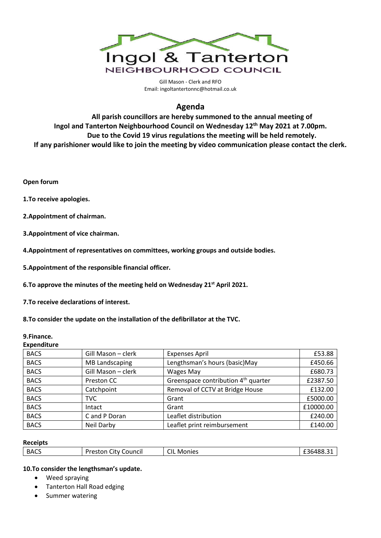

Gill Mason - Clerk and RFO Email[: ingoltantertonnc@hotmail.co.uk](mailto:ingoltantertonnc@hotmail.co.uk)

# **Agenda**

**All parish councillors are hereby summoned to the annual meeting of Ingol and Tanterton Neighbourhood Council on Wednesday 12th May 2021 at 7.00pm. Due to the Covid 19 virus regulations the meeting will be held remotely. If any parishioner would like to join the meeting by video communication please contact the clerk.**

**Open forum**

**1.To receive apologies.**

**2.Appointment of chairman.** 

**3.Appointment of vice chairman.** 

**4.Appointment of representatives on committees, working groups and outside bodies.** 

**5.Appointment of the responsible financial officer.** 

**6.To approve the minutes of the meeting held on Wednesday 21st April 2021.**

**7.To receive declarations of interest.**

**8.To consider the update on the installation of the defibrillator at the TVC.**

#### **9.Finance. Expenditure**

| LAPCHUILUI C |                       |                                                 |           |
|--------------|-----------------------|-------------------------------------------------|-----------|
| <b>BACS</b>  | Gill Mason - clerk    | <b>Expenses April</b>                           | £53.88    |
| <b>BACS</b>  | <b>MB Landscaping</b> | Lengthsman's hours (basic)May                   | £450.66   |
| <b>BACS</b>  | Gill Mason - clerk    | Wages May                                       | £680.73   |
| <b>BACS</b>  | Preston CC            | Greenspace contribution 4 <sup>th</sup> quarter | £2387.50  |
| <b>BACS</b>  | Catchpoint            | Removal of CCTV at Bridge House                 | £132.00   |
| <b>BACS</b>  | <b>TVC</b>            | Grant                                           | £5000.00  |
| <b>BACS</b>  | Intact                | Grant                                           | £10000.00 |
| <b>BACS</b>  | C and P Doran         | Leaflet distribution                            | £240.00   |
| <b>BACS</b>  | Neil Darby            | Leaflet print reimbursement                     | £140.00   |
|              |                       |                                                 |           |

#### **Receipts**

| <b>BACS</b> | Preston<br>City Council | CIL<br>Monies | £36488.31 |
|-------------|-------------------------|---------------|-----------|
|             |                         |               |           |

#### **10.To consider the lengthsman's update.**

- Weed spraying
- Tanterton Hall Road edging
- Summer watering